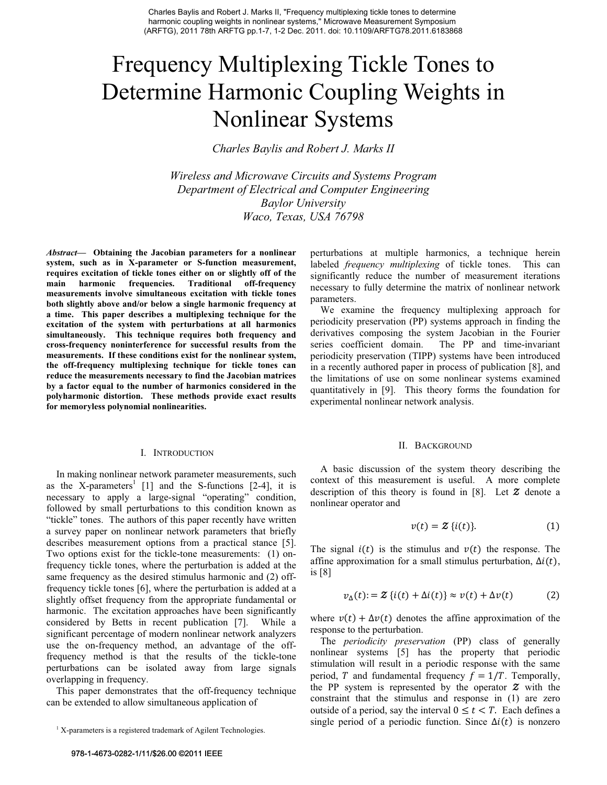# Frequency Multiplexing Tickle Tones to Determine Harmonic Coupling Weights in Nonlinear Systems

*Charles Baylis and Robert J. Marks II* 

*Wireless and Microwave Circuits and Systems Program Department of Electrical and Computer Engineering Baylor University Waco, Texas, USA 76798* 

*Abstract***— Obtaining the Jacobian parameters for a nonlinear system, such as in X-parameter or S-function measurement, requires excitation of tickle tones either on or slightly off of the main harmonic frequencies. Traditional off-frequency measurements involve simultaneous excitation with tickle tones both slightly above and/or below a single harmonic frequency at a time. This paper describes a multiplexing technique for the excitation of the system with perturbations at all harmonics simultaneously. This technique requires both frequency and cross-frequency noninterference for successful results from the measurements. If these conditions exist for the nonlinear system, the off-frequency multiplexing technique for tickle tones can reduce the measurements necessary to find the Jacobian matrices by a factor equal to the number of harmonics considered in the polyharmonic distortion. These methods provide exact results for memoryless polynomial nonlinearities.** 

#### I. INTRODUCTION

In making nonlinear network parameter measurements, such as the X-parameters<sup>1</sup> [1] and the S-functions [2-4], it is necessary to apply a large-signal "operating" condition, followed by small perturbations to this condition known as "tickle" tones. The authors of this paper recently have written a survey paper on nonlinear network parameters that briefly describes measurement options from a practical stance [5]. Two options exist for the tickle-tone measurements: (1) onfrequency tickle tones, where the perturbation is added at the same frequency as the desired stimulus harmonic and (2) offfrequency tickle tones [6], where the perturbation is added at a slightly offset frequency from the appropriate fundamental or harmonic. The excitation approaches have been significantly considered by Betts in recent publication [7]. While a significant percentage of modern nonlinear network analyzers use the on-frequency method, an advantage of the offfrequency method is that the results of the tickle-tone perturbations can be isolated away from large signals overlapping in frequency.

This paper demonstrates that the off-frequency technique can be extended to allow simultaneous application of

perturbations at multiple harmonics, a technique herein labeled *frequency multiplexing* of tickle tones. This can significantly reduce the number of measurement iterations necessary to fully determine the matrix of nonlinear network parameters.

We examine the frequency multiplexing approach for periodicity preservation (PP) systems approach in finding the derivatives composing the system Jacobian in the Fourier series coefficient domain. The PP and time-invariant periodicity preservation (TIPP) systems have been introduced in a recently authored paper in process of publication [8], and the limitations of use on some nonlinear systems examined quantitatively in [9]. This theory forms the foundation for experimental nonlinear network analysis.

#### II. BACKGROUND

A basic discussion of the system theory describing the context of this measurement is useful. A more complete description of this theory is found in [8]. Let  $Z$  denote a nonlinear operator and

$$
v(t) = \mathcal{Z}\left\{i(t)\right\}.\tag{1}
$$

The signal  $i(t)$  is the stimulus and  $v(t)$  the response. The affine approximation for a small stimulus perturbation,  $\Delta i(t)$ , is [8]

$$
v_{\Delta}(t) = \mathcal{Z}\left\{i(t) + \Delta i(t)\right\} \approx v(t) + \Delta v(t) \tag{2}
$$

where  $v(t) + \Delta v(t)$  denotes the affine approximation of the response to the perturbation.

The *periodicity preservation* (PP) class of generally nonlinear systems [5] has the property that periodic stimulation will result in a periodic response with the same period, T and fundamental frequency  $f = 1/T$ . Temporally, the PP system is represented by the operator  $\boldsymbol{\mathcal{Z}}$  with the constraint that the stimulus and response in (1) are zero outside of a period, say the interval  $0 \le t < T$ . Each defines a single period of a periodic function. Since  $\Delta i(t)$  is nonzero

<sup>&</sup>lt;sup>1</sup> X-parameters is a registered trademark of Agilent Technologies.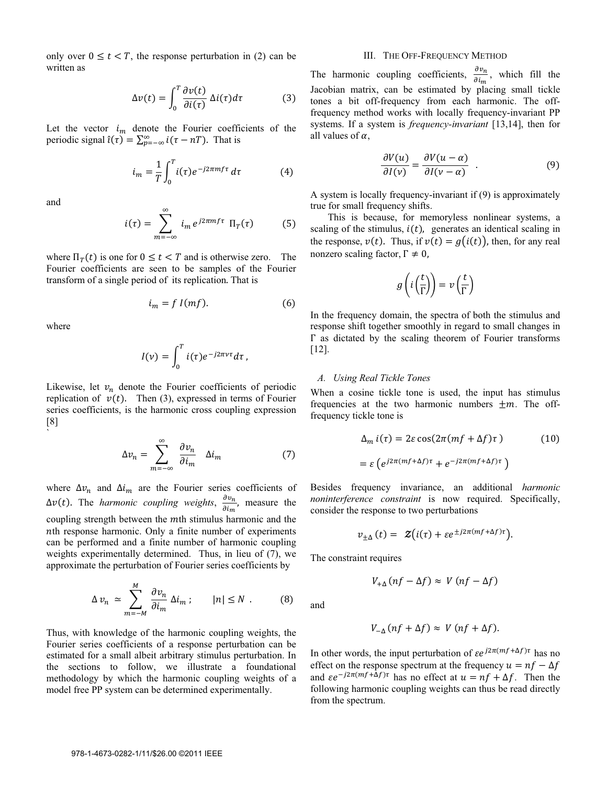only over  $0 \le t < T$ , the response perturbation in (2) can be written as

$$
\Delta v(t) = \int_0^T \frac{\partial v(t)}{\partial i(\tau)} \, \Delta i(\tau) d\tau \tag{3}
$$

Let the vector  $i_m$  denote the Fourier coefficients of the periodic signal  $\hat{\iota}(\tau) = \sum_{p=-\infty}^{\infty} i(\tau - nT)$ . That is

$$
i_m = \frac{1}{T} \int_0^T i(\tau) e^{-j2\pi mf\tau} d\tau \tag{4}
$$

and

$$
i(\tau) = \sum_{m=-\infty}^{\infty} i_m e^{j2\pi m f \tau} \Pi_T(\tau) \tag{5}
$$

where  $\Pi_T(t)$  is one for  $0 \le t < T$  and is otherwise zero. The Fourier coefficients are seen to be samples of the Fourier transform of a single period of its replication That is

$$
i_m = f I(mf). \tag{6}
$$

where

`

$$
I(v) = \int_0^T i(\tau) e^{-j2\pi vt} d\tau,
$$

Likewise, let  $v_n$  denote the Fourier coefficients of periodic replication of  $v(t)$ . Then (3), expressed in terms of Fourier series coefficients, is the harmonic cross coupling expression [8]

$$
\Delta v_n = \sum_{m=-\infty}^{\infty} \frac{\partial v_n}{\partial i_m} \quad \Delta i_m \tag{7}
$$

where  $\Delta v_n$  and  $\Delta i_m$  are the Fourier series coefficients of  $\Delta v(t)$ . The *harmonic coupling weights*,  $\frac{\partial v_n}{\partial i_m}$ , measure the coupling strength between the  $m$ th stimulus harmonic and the *nth* response harmonic. Only a finite number of experiments can be performed and a finite number of harmonic coupling weights experimentally determined. Thus, in lieu of (7), we approximate the perturbation of Fourier series coefficients by

$$
\Delta v_n \simeq \sum_{m=-M}^{M} \frac{\partial v_n}{\partial i_m} \, \Delta i_m \, ; \qquad |n| \le N \, . \tag{8}
$$

Thus, with knowledge of the harmonic coupling weights, the Fourier series coefficients of a response perturbation can be estimated for a small albeit arbitrary stimulus perturbation. In the sections to follow, we illustrate a foundational methodology by which the harmonic coupling weights of a model free PP system can be determined experimentally.

### III. THE OFF-FREQUENCY METHOD

The harmonic coupling coefficients,  $\frac{\partial v_n}{\partial i_m}$ , which fill the Jacobian matrix, can be estimated by placing small tickle tones a bit off-frequency from each harmonic. The offfrequency method works with locally frequency-invariant PP systems. If a system is *frequency-invariant* [13,14], then for all values of  $\alpha$ ,

$$
\frac{\partial V(u)}{\partial I(v)} = \frac{\partial V(u-\alpha)}{\partial I(v-\alpha)} . \tag{9}
$$

A system is locally frequency-invariant if (9) is approximately true for small frequency shifts.

 This is because, for memoryless nonlinear systems, a scaling of the stimulus,  $i(t)$ , generates an identical scaling in the response,  $v(t)$ . Thus, if  $v(t) = g(i(t))$ , then, for any real nonzero scaling factor,  $\Gamma \neq 0$ ,

$$
g\left(i\left(\frac{t}{\Gamma}\right)\right) = v\left(\frac{t}{\Gamma}\right)
$$

In the frequency domain, the spectra of both the stimulus and response shift together smoothly in regard to small changes in  $\Gamma$  as dictated by the scaling theorem of Fourier transforms [12].

#### *A. Using Real Tickle Tones*

When a cosine tickle tone is used, the input has stimulus frequencies at the two harmonic numbers  $\pm m$ . The offfrequency tickle tone is

$$
\Delta_m i(\tau) = 2\varepsilon \cos(2\pi(mf + \Delta f)\tau)
$$
 (10)  
=  $\varepsilon (e^{j2\pi(mf + \Delta f)\tau} + e^{-j2\pi(mf + \Delta f)\tau})$ 

Besides frequency invariance, an additional *harmonic noninterference constraint* is now required. Specifically, consider the response to two perturbations

$$
v_{+\Delta}(t) = \mathcal{Z}(i(\tau) + \varepsilon e^{\pm j2\pi(mf + \Delta f)\tau}).
$$

The constraint requires

and

$$
V_{-\Delta}(nf + \Delta f) \approx V(nf + \Delta f).
$$

 $V_{+\Lambda}$   $(n f - \Delta f) \approx V (n f - \Delta f)$ 

In other words, the input perturbation of  $\epsilon e^{j2\pi(mf+\Delta f)\tau}$  has no effect on the response spectrum at the frequency  $u = nf - \Delta f$ and  $\epsilon e^{-j2\pi(mf+\Delta f)\tau}$  has no effect at  $u = nf + \Delta f$ . Then the following harmonic coupling weights can thus be read directly from the spectrum.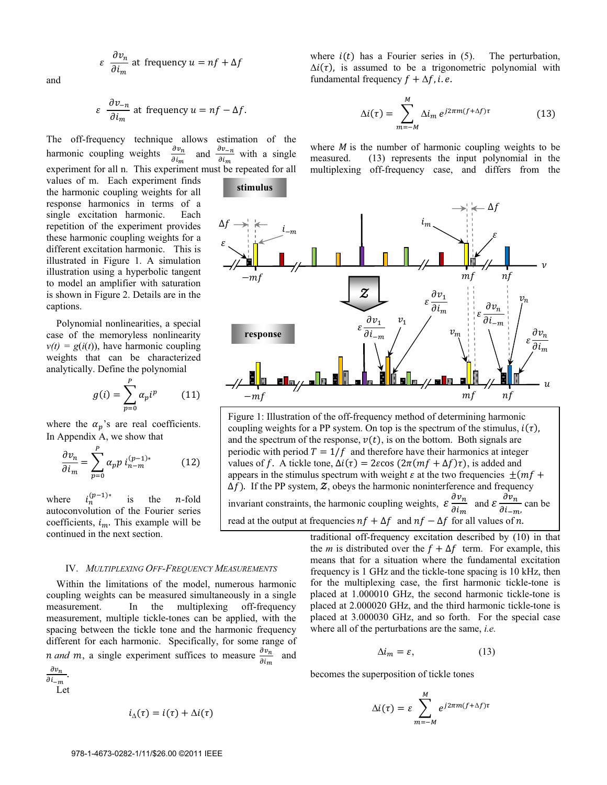$$
\varepsilon \frac{\partial v_n}{\partial i_m}
$$
 at frequency  $u = nf + \Delta f$ 

and

$$
\varepsilon \frac{\partial v_{-n}}{\partial i_m}
$$
 at frequency  $u = nf - \Delta f$ .

The off-frequency technique allows estimation of the<br>homonic counting woights  $\frac{\partial v_n}{\partial t}$  and  $\frac{\partial v_{-n}}{\partial t}$  with a single harmonic coupling weights  $\partial i_m$ and  $\frac{\partial v_{-n}}{\partial i_m}$  with a single experiment for all n. This experiment must be repeated for all

**stimulus** 

values of m. Each experiment finds the harmonic coupling weights for all response harmonics in terms of a single excitation harmonic. Each repetition of the experiment provides these harmonic coupling weights for a different excitation harmonic. This is illustrated in Figure 1. A simulation illustration using a hyperbolic tangent to model an amplifier with saturation is shown in Figure 2. Details are in the captions.

Polynomial nonlinearities, a special case of the memoryless nonlinearity  $v(t) = g(i(t))$ , have harmonic coupling weights that can be characterized analytically. Define the polynomial

$$
g(i) = \sum_{p=0}^{P} \alpha_p i^p \qquad (11)
$$

where the  $\alpha_p$ 's are real coefficients. In Appendix A, we show that

$$
\frac{\partial v_n}{\partial i_m} = \sum_{p=0}^P \alpha_p p \, i_{n-m}^{(p-1)*} \tag{12}
$$

where  $(n-1)*$ is the  $n$ -fold autoconvolution of the Fourier series coefficients,  $i_m$ . This example will be continued in the next section.

#### IV. *MULTIPLEXING OFF-FREQUENCY MEASUREMENTS*

Within the limitations of the model, numerous harmonic coupling weights can be measured simultaneously in a single measurement. In the multiplexing off-frequency measurement, multiple tickle-tones can be applied, with the spacing between the tickle tone and the harmonic frequency different for each harmonic. Specifically, for some range of *n* and *m*, a single experiment suffices to measure  $\frac{\partial v_n}{\partial i_m}$  and  $\partial v_n$ l.

 $\partial i_{-m}$ Let

$$
i_{\Delta}(\tau)=i(\tau)+\Delta i(\tau)
$$

where  $i(t)$  has a Fourier series in (5). The perturbation,  $\Delta i(\tau)$ , is assumed to be a trigonometric polynomial with fundamental frequency  $f + \Delta f$ , i.e.

$$
\Delta i(\tau) = \sum_{m=-M}^{M} \Delta i_m \, e^{j2\pi m (f + \Delta f)\tau} \tag{13}
$$

where  $M$  is the number of harmonic coupling weights to be measured. (13) represents the input polynomial in the multiplexing off-frequency case, and differs from the



 Figure 1: Illustration of the off-frequency method of determining harmonic coupling weights for a PP system. On top is the spectrum of the stimulus,  $i(\tau)$ , and the spectrum of the response,  $v(t)$ , is on the bottom. Both signals are periodic with period  $T = 1/f$  and therefore have their harmonics at integer values of f. A tickle tone,  $\Delta i(\tau) = 2\varepsilon \cos(2\pi(mf + \Delta f)\tau)$ , is added and appears in the stimulus spectrum with weight  $\varepsilon$  at the two frequencies  $\pm (mf +$  $\widehat{\Delta f}$ ). If the PP system,  $\overline{z}$ , obeys the harmonic noninterference and frequency invariant constraints, the harmonic coupling weights,  $\varepsilon \frac{\partial v_n}{\partial x_i}$  $\frac{\partial v_n}{\partial i_m}$  and  $\mathcal{E}$   $\frac{\partial v_n}{\partial i_m}$  $\frac{\partial^2 u}{\partial i_{-m}}$  can be read at the output at frequencies  $nf + \Delta f$  and  $nf - \Delta f$  for all values of n.

traditional off-frequency excitation described by (10) in that the *m* is distributed over the  $f + \Delta f$  term. For example, this means that for a situation where the fundamental excitation frequency is 1 GHz and the tickle-tone spacing is 10 kHz, then for the multiplexing case, the first harmonic tickle-tone is placed at 1.000010 GHz, the second harmonic tickle-tone is placed at 2.000020 GHz, and the third harmonic tickle-tone is placed at 3.000030 GHz, and so forth. For the special case where all of the perturbations are the same, *i.e.* 

$$
\Delta i_m = \varepsilon, \tag{13}
$$

becomes the superposition of tickle tones

$$
\Delta i(\tau) = \varepsilon \sum_{m=-M}^{M} e^{j2\pi m (f + \Delta f)\tau}
$$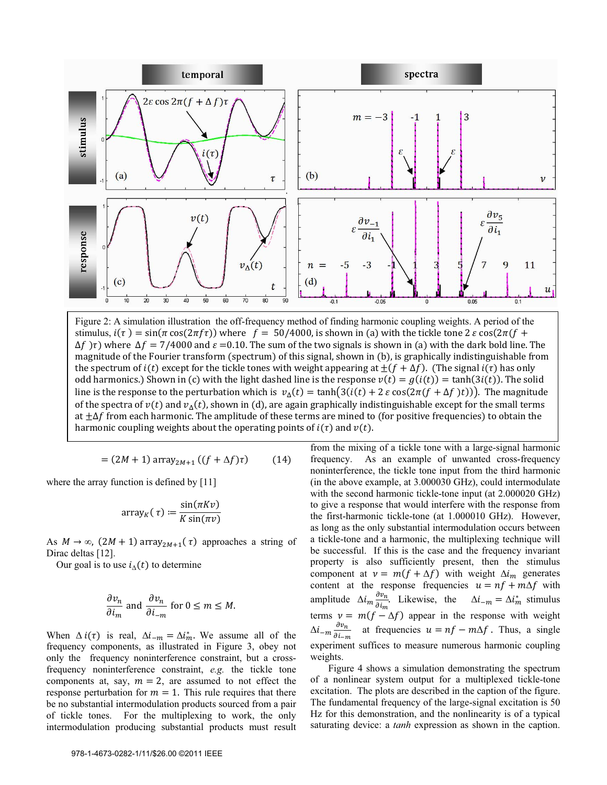

Figure 2: A simulation illustration the off-frequency method of finding harmonic coupling weights. A period of the stimulus,  $i(\tau) = \sin(\pi \cos(2\pi f \tau))$  where  $f = 50/4000$ , is shown in (a) with the tickle tone 2  $\varepsilon \cos(2\pi (f +$  $\Delta f$  ) $\tau$ ) where  $\Delta f = 7/4000$  and  $\varepsilon = 0.10$ . The sum of the two signals is shown in (a) with the dark bold line. The magnitude of the Fourier transform (spectrum) of this signal, shown in (b), is graphically indistinguishable from the spectrum of  $i(t)$  except for the tickle tones with weight appearing at  $+(f + \Delta f)$ . (The signal  $i(\tau)$  has only odd harmonics.) Shown in (c) with the light dashed line is the response  $v(t) = g(i(t)) = \tanh(3i(t))$ . The solid line is the response to the perturbation which is  $v_{\Delta}(t) = \tanh(3(i(t) + 2 \varepsilon \cos(2\pi (f + \Delta f)t)))$ . The magnitude of the spectra of  $v(t)$  and  $v_A(t)$ , shown in (d), are again graphically indistinguishable except for the small terms at  $\pm\Delta f$  from each harmonic. The amplitude of these terms are mined to (for positive frequencies) to obtain the harmonic coupling weights about the operating points of  $i(\tau)$  and  $v(t)$ .

$$
= (2M + 1) \operatorname{array}_{2M+1} \left( (f + \Delta f) \tau \right) \tag{14}
$$

where the array function is defined by [11]

$$
array_K(\tau) := \frac{\sin(\pi K \nu)}{K \sin(\pi \nu)}
$$

As  $M \to \infty$ ,  $(2M + 1)$  array<sub>2M+1</sub>( $\tau$ ) approaches a string of Dirac deltas [12].

Our goal is to use  $i_{\Delta}(t)$  to determine

$$
\frac{\partial v_n}{\partial i_m}
$$
 and 
$$
\frac{\partial v_n}{\partial i_{-m}}
$$
 for  $0 \le m \le M$ .

When  $\Delta i(\tau)$  is real,  $\Delta i_{-m} = \Delta i_m^*$ . We assume all of the frequency components, as illustrated in Figure 3, obey not only the frequency noninterference constraint, but a crossfrequency noninterference constraint, *e.g.* the tickle tone components at, say,  $m = 2$ , are assumed to not effect the response perturbation for  $m = 1$ . This rule requires that there be no substantial intermodulation products sourced from a pair of tickle tones. For the multiplexing to work, the only intermodulation producing substantial products must result

from the mixing of a tickle tone with a large-signal harmonic frequency. As an example of unwanted cross-frequency noninterference, the tickle tone input from the third harmonic (in the above example, at 3.000030 GHz), could intermodulate with the second harmonic tickle-tone input (at 2.000020 GHz) to give a response that would interfere with the response from the first-harmonic tickle-tone (at 1.000010 GHz). However, as long as the only substantial intermodulation occurs between a tickle-tone and a harmonic, the multiplexing technique will be successful. If this is the case and the frequency invariant property is also sufficiently present, then the stimulus component at  $v = m(f + \Delta f)$  with weight  $\Delta i_m$  generates content at the response frequencies  $u = nf + m\Delta f$  with amplitude  $\Delta i_m \frac{\partial v_n}{\partial i}$  $\frac{\partial v_n}{\partial i_m}$ . Likewise, the  $\Delta i_{-m} = \Delta i_m^*$  stimulus terms  $v = m(f - \Delta f)$  appear in the response with weight  $\Delta i_{-m} \frac{\partial v_n}{\partial x^2}$  $\frac{\partial v_n}{\partial t_{-m}}$  at frequencies  $u = nf -m\Delta f$ . Thus, a single experiment suffices to measure numerous harmonic coupling weights.

Figure 4 shows a simulation demonstrating the spectrum of a nonlinear system output for a multiplexed tickle-tone excitation. The plots are described in the caption of the figure. The fundamental frequency of the large-signal excitation is 50 Hz for this demonstration, and the nonlinearity is of a typical saturating device: a *tanh* expression as shown in the caption.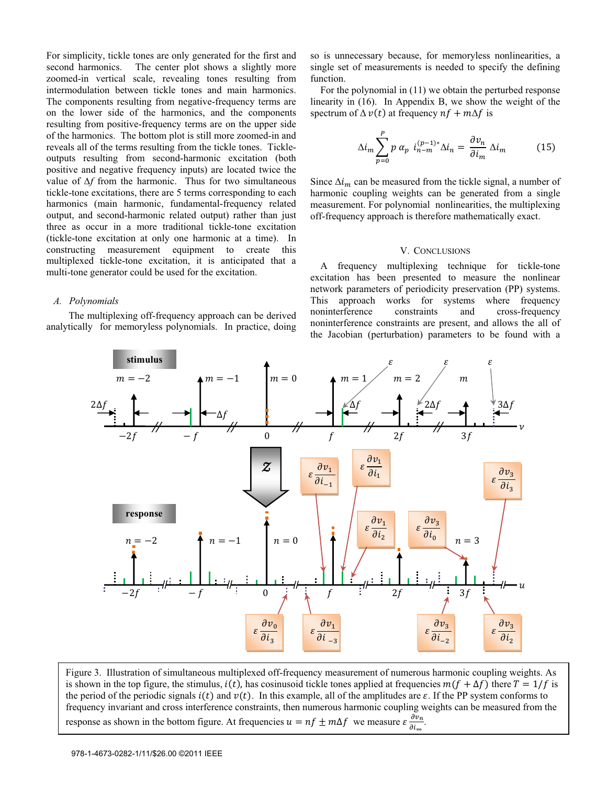For simplicity, tickle tones are only generated for the first and second harmonics. The center plot shows a slightly more zoomed-in vertical scale, revealing tones resulting from intermodulation between tickle tones and main harmonics. The components resulting from negative-frequency terms are on the lower side of the harmonics, and the components resulting from positive-frequency terms are on the upper side of the harmonics. The bottom plot is still more zoomed-in and reveals all of the terms resulting from the tickle tones. Tickleoutputs resulting from second-harmonic excitation (both positive and negative frequency inputs) are located twice the value of  $\Delta f$  from the harmonic. Thus for two simultaneous tickle-tone excitations, there are 5 terms corresponding to each harmonics (main harmonic, fundamental-frequency related output, and second-harmonic related output) rather than just three as occur in a more traditional tickle-tone excitation (tickle-tone excitation at only one harmonic at a time). In constructing measurement equipment to create this multiplexed tickle-tone excitation, it is anticipated that a multi-tone generator could be used for the excitation.

# *A. Polynomials*

 The multiplexing off-frequency approach can be derived analytically for memoryless polynomials. In practice, doing so is unnecessary because, for memoryless nonlinearities, a single set of measurements is needed to specify the defining function.

 For the polynomial in (11) we obtain the perturbed response linearity in (16). In Appendix B, we show the weight of the spectrum of  $\Delta v(t)$  at frequency  $nf + m\Delta f$  is

$$
\Delta i_m \sum_{p=0}^{P} p \alpha_p i_{n-m}^{(p-1)*} \Delta i_n = \frac{\partial v_n}{\partial i_m} \Delta i_m \tag{15}
$$

Since  $\Delta i_m$  can be measured from the tickle signal, a number of harmonic coupling weights can be generated from a single measurement. For polynomial nonlinearities, the multiplexing off-frequency approach is therefore mathematically exact.

# V. CONCLUSIONS

A frequency multiplexing technique for tickle-tone excitation has been presented to measure the nonlinear network parameters of periodicity preservation (PP) systems. This approach works for systems where frequency noninterference constraints and cross-frequency noninterference constraints are present, and allows the all of the Jacobian (perturbation) parameters to be found with a



Figure 3. Illustration of simultaneous multiplexed off-frequency measurement of numerous harmonic coupling weights. As is shown in the top figure, the stimulus,  $i(t)$ , has cosinusoid tickle tones applied at frequencies  $m(f + \Delta f)$  there  $T = 1/f$  is the period of the periodic signals  $i(t)$  and  $v(t)$ . In this example, all of the amplitudes are  $\varepsilon$ . If the PP system conforms to frequency invariant and cross interference constraints, then numerous harmonic coupling weights can be measured from the response as shown in the bottom figure. At frequencies  $u = nf \pm m\Delta f$  we measure  $\epsilon \frac{\partial v_n}{\partial x_i}$  $\frac{\partial v_n}{\partial i_m}$ .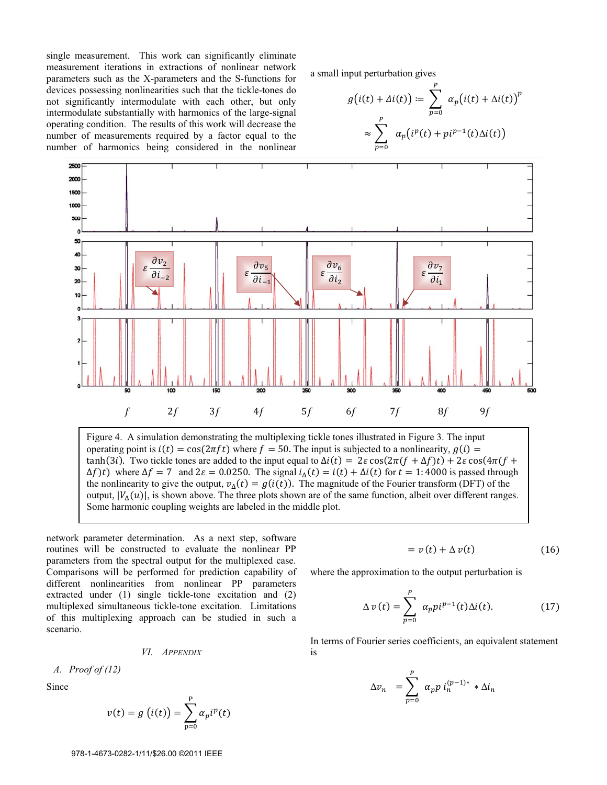single measurement. This work can significantly eliminate measurement iterations in extractions of nonlinear network parameters such as the X-parameters and the S-functions for devices possessing nonlinearities such that the tickle-tones do not significantly intermodulate with each other, but only intermodulate substantially with harmonics of the large-signal operating condition. The results of this work will decrease the number of measurements required by a factor equal to the number of harmonics being considered in the nonlinear

a small input perturbation gives

$$
g(i(t) + \Delta i(t)) \coloneqq \sum_{p=0}^{P} \alpha_p(i(t) + \Delta i(t))^p
$$

$$
\approx \sum_{p=0}^{P} \alpha_p(i^p(t) + pi^{p-1}(t)\Delta i(t))
$$



Figure 4. A simulation demonstrating the multiplexing tickle tones illustrated in Figure 3. The input operating point is  $i(t) = cos(2\pi ft)$  where  $f = 50$ . The input is subjected to a nonlinearity,  $g(i) =$  $\tanh(3i)$ . Two tickle tones are added to the input equal to  $\Delta i(t) = 2\varepsilon \cos(2\pi (f + \Delta f)t) + 2\varepsilon \cos(4\pi (f +$  $\Delta f$ ) where  $\Delta f = 7$  and  $2\varepsilon = 0.0250$ . The signal  $i_{\Delta}(t) = i(t) + \Delta i(t)$  for  $t = 1.4000$  is passed through the nonlinearity to give the output,  $v_{\Delta}(t) = g(i(t))$ . The magnitude of the Fourier transform (DFT) of the output,  $|V_{\Delta}(u)|$ , is shown above. The three plots shown are of the same function, albeit over different ranges. Some harmonic coupling weights are labeled in the middle plot.

network parameter determination. As a next step, software routines will be constructed to evaluate the nonlinear PP parameters from the spectral output for the multiplexed case. Comparisons will be performed for prediction capability of different nonlinearities from nonlinear PP parameters extracted under (1) single tickle-tone excitation and (2) multiplexed simultaneous tickle-tone excitation. Limitations of this multiplexing approach can be studied in such a scenario.

*VI. APPENDIX*

*A. Proof of (12)* 

Since

$$
v(t) = g\left(i(t)\right) = \sum_{p=0}^{P} \alpha_p i^p(t)
$$

$$
= v(t) + \Delta v(t) \tag{16}
$$

where the approximation to the output perturbation is

$$
\Delta v(t) = \sum_{p=0}^{P} \alpha_p p i^{p-1}(t) \Delta i(t). \tag{17}
$$

In terms of Fourier series coefficients, an equivalent statement is

$$
\Delta v_n = \sum_{p=0}^P \alpha_p p \, i_n^{(p-1)*} * \Delta i_n
$$